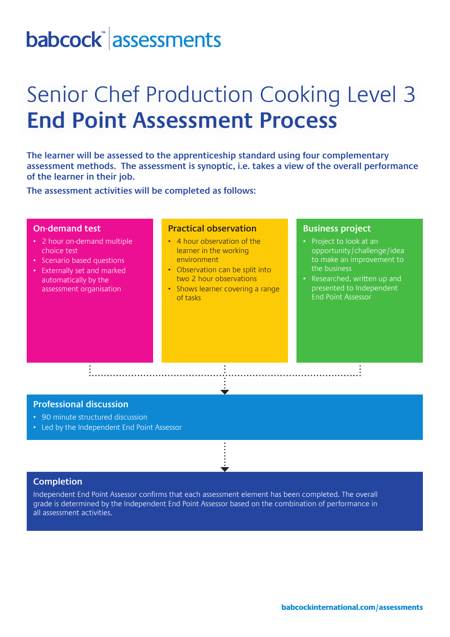# babcock assessments

# Senior Chef Production Cooking Level 3 **End Point Assessment Process**

**The learner will be assessed to the apprenticeship standard using four complementary assessment methods. The assessment is synoptic, i.e. takes a view of the overall performance of the learner in their job.** 

**The assessment activities will be completed as follows:**

## **On-demand test**

- 2 hour on-demand multiple choice test
- Scenario based questions
- Externally set and marked automatically by the assessment organisation

## **Practical observation**

- 4 hour observation of the learner in the working environment
- Observation can be split into two 2 hour observations
- Shows learner covering a range of tasks

#### **Business project**

- Project to look at an opportunity/challenge/idea to make an improvement to the business
- Researched, written up and presented to Independent End Point Assessor

### **Professional discussion**

- 90 minute structured discussion
- Led by the Independent End Point Assessor

#### **Completion**

Independent End Point Assessor confirms that each assessment element has been completed. The overall grade is determined by the Independent End Point Assessor based on the combination of performance in all assessment activities.